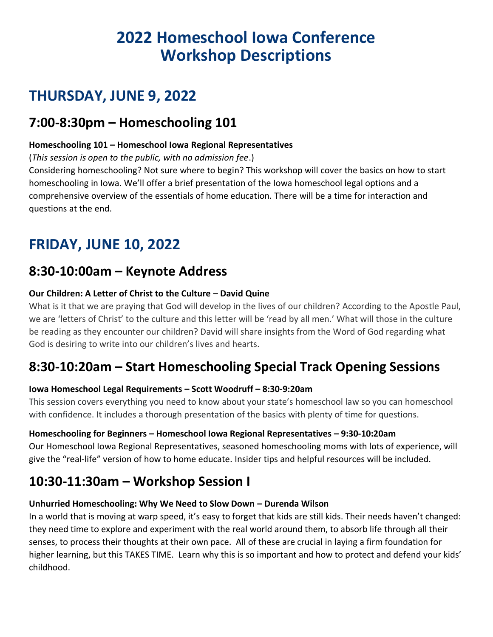# **2022 Homeschool Iowa Conference Workshop Descriptions**

# **THURSDAY, JUNE 9, 2022**

# **7:00-8:30pm – Homeschooling 101**

# **Homeschooling 101 – Homeschool Iowa Regional Representatives**

(*This session is open to the public, with no admission fee*.)

Considering homeschooling? Not sure where to begin? This workshop will cover the basics on how to start homeschooling in Iowa. We'll offer a brief presentation of the Iowa homeschool legal options and a comprehensive overview of the essentials of home education. There will be a time for interaction and questions at the end.

# **FRIDAY, JUNE 10, 2022**

# **8:30-10:00am – Keynote Address**

# **Our Children: A Letter of Christ to the Culture – David Quine**

What is it that we are praying that God will develop in the lives of our children? According to the Apostle Paul, we are 'letters of Christ' to the culture and this letter will be 'read by all men.' What will those in the culture be reading as they encounter our children? David will share insights from the Word of God regarding what God is desiring to write into our children's lives and hearts.

# **8:30-10:20am – Start Homeschooling Special Track Opening Sessions**

# **Iowa Homeschool Legal Requirements – Scott Woodruff – 8:30-9:20am**

This session covers everything you need to know about your state's homeschool law so you can homeschool with confidence. It includes a thorough presentation of the basics with plenty of time for questions.

## **Homeschooling for Beginners – Homeschool Iowa Regional Representatives – 9:30-10:20am**

Our Homeschool Iowa Regional Representatives, seasoned homeschooling moms with lots of experience, will give the "real-life" version of how to home educate. Insider tips and helpful resources will be included.

# **10:30-11:30am – Workshop Session I**

## **Unhurried Homeschooling: Why We Need to Slow Down – Durenda Wilson**

In a world that is moving at warp speed, it's easy to forget that kids are still kids. Their needs haven't changed: they need time to explore and experiment with the real world around them, to absorb life through all their senses, to process their thoughts at their own pace. All of these are crucial in laying a firm foundation for higher learning, but this TAKES TIME. Learn why this is so important and how to protect and defend your kids' childhood.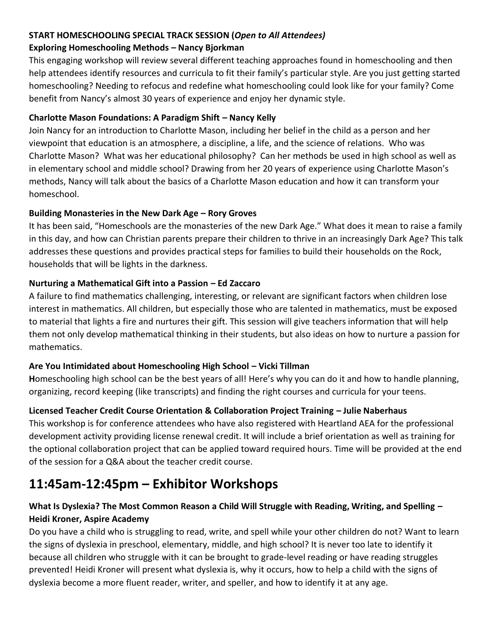# **START HOMESCHOOLING SPECIAL TRACK SESSION (***Open to All Attendees)*

#### **Exploring Homeschooling Methods – Nancy Bjorkman**

This engaging workshop will review several different teaching approaches found in homeschooling and then help attendees identify resources and curricula to fit their family's particular style. Are you just getting started homeschooling? Needing to refocus and redefine what homeschooling could look like for your family? Come benefit from Nancy's almost 30 years of experience and enjoy her dynamic style.

# **Charlotte Mason Foundations: A Paradigm Shift – Nancy Kelly**

Join Nancy for an introduction to Charlotte Mason, including her belief in the child as a person and her viewpoint that education is an atmosphere, a discipline, a life, and the science of relations. Who was Charlotte Mason? What was her educational philosophy? Can her methods be used in high school as well as in elementary school and middle school? Drawing from her 20 years of experience using Charlotte Mason's methods, Nancy will talk about the basics of a Charlotte Mason education and how it can transform your homeschool.

## **Building Monasteries in the New Dark Age – Rory Groves**

It has been said, "Homeschools are the monasteries of the new Dark Age." What does it mean to raise a family in this day, and how can Christian parents prepare their children to thrive in an increasingly Dark Age? This talk addresses these questions and provides practical steps for families to build their households on the Rock, households that will be lights in the darkness.

# **Nurturing a Mathematical Gift into a Passion – Ed Zaccaro**

A failure to find mathematics challenging, interesting, or relevant are significant factors when children lose interest in mathematics. All children, but especially those who are talented in mathematics, must be exposed to material that lights a fire and nurtures their gift. This session will give teachers information that will help them not only develop mathematical thinking in their students, but also ideas on how to nurture a passion for mathematics.

# **Are You Intimidated about Homeschooling High School – Vicki Tillman**

**H**omeschooling high school can be the best years of all! Here's why you can do it and how to handle planning, organizing, record keeping (like transcripts) and finding the right courses and curricula for your teens.

# **Licensed Teacher Credit Course Orientation & Collaboration Project Training – Julie Naberhaus**

This workshop is for conference attendees who have also registered with Heartland AEA for the professional development activity providing license renewal credit. It will include a brief orientation as well as training for the optional collaboration project that can be applied toward required hours. Time will be provided at the end of the session for a Q&A about the teacher credit course.

# **11:45am-12:45pm – Exhibitor Workshops**

# **What Is Dyslexia? The Most Common Reason a Child Will Struggle with Reading, Writing, and Spelling – Heidi Kroner, Aspire Academy**

Do you have a child who is struggling to read, write, and spell while your other children do not? Want to learn the signs of dyslexia in preschool, elementary, middle, and high school? It is never too late to identify it because all children who struggle with it can be brought to grade-level reading or have reading struggles prevented! Heidi Kroner will present what dyslexia is, why it occurs, how to help a child with the signs of dyslexia become a more fluent reader, writer, and speller, and how to identify it at any age.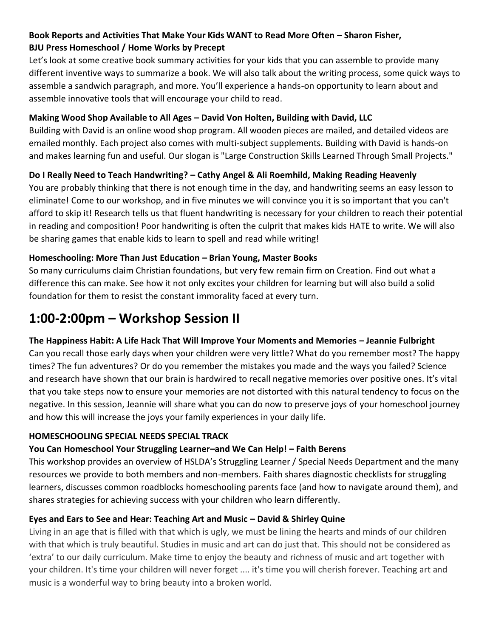# **Book Reports and Activities That Make Your Kids WANT to Read More Often – Sharon Fisher, BJU Press Homeschool / Home Works by Precept**

Let's look at some creative book summary activities for your kids that you can assemble to provide many different inventive ways to summarize a book. We will also talk about the writing process, some quick ways to assemble a sandwich paragraph, and more. You'll experience a hands-on opportunity to learn about and assemble innovative tools that will encourage your child to read.

## **Making Wood Shop Available to All Ages – David Von Holten, Building with David, LLC**

Building with David is an online wood shop program. All wooden pieces are mailed, and detailed videos are emailed monthly. Each project also comes with multi-subject supplements. Building with David is hands-on and makes learning fun and useful. Our slogan is "Large Construction Skills Learned Through Small Projects."

## **Do I Really Need to Teach Handwriting? – Cathy Angel & Ali Roemhild, Making Reading Heavenly**

You are probably thinking that there is not enough time in the day, and handwriting seems an easy lesson to eliminate! Come to our workshop, and in five minutes we will convince you it is so important that you can't afford to skip it! Research tells us that fluent handwriting is necessary for your children to reach their potential in reading and composition! Poor handwriting is often the culprit that makes kids HATE to write. We will also be sharing games that enable kids to learn to spell and read while writing!

#### **Homeschooling: More Than Just Education – Brian Young, Master Books**

So many curriculums claim Christian foundations, but very few remain firm on Creation. Find out what a difference this can make. See how it not only excites your children for learning but will also build a solid foundation for them to resist the constant immorality faced at every turn.

# **1:00-2:00pm – Workshop Session II**

## **The Happiness Habit: A Life Hack That Will Improve Your Moments and Memories – Jeannie Fulbright**

Can you recall those early days when your children were very little? What do you remember most? The happy times? The fun adventures? Or do you remember the mistakes you made and the ways you failed? Science and research have shown that our brain is hardwired to recall negative memories over positive ones. It's vital that you take steps now to ensure your memories are not distorted with this natural tendency to focus on the negative. In this session, Jeannie will share what you can do now to preserve joys of your homeschool journey and how this will increase the joys your family experiences in your daily life.

#### **HOMESCHOOLING SPECIAL NEEDS SPECIAL TRACK**

## **You Can Homeschool Your Struggling Learner–and We Can Help! – Faith Berens**

This workshop provides an overview of HSLDA's Struggling Learner / Special Needs Department and the many resources we provide to both members and non-members. Faith shares diagnostic checklists for struggling learners, discusses common roadblocks homeschooling parents face (and how to navigate around them), and shares strategies for achieving success with your children who learn differently.

#### **Eyes and Ears to See and Hear: Teaching Art and Music – David & Shirley Quine**

Living in an age that is filled with that which is ugly, we must be lining the hearts and minds of our children with that which is truly beautiful. Studies in music and art can do just that. This should not be considered as 'extra' to our daily curriculum. Make time to enjoy the beauty and richness of music and art together with your children. It's time your children will never forget .... it's time you will cherish forever. Teaching art and music is a wonderful way to bring beauty into a broken world.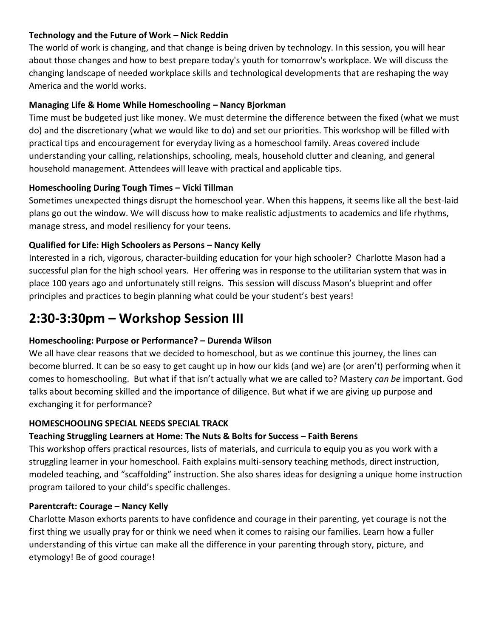#### **Technology and the Future of Work – Nick Reddin**

The world of work is changing, and that change is being driven by technology. In this session, you will hear about those changes and how to best prepare today's youth for tomorrow's workplace. We will discuss the changing landscape of needed workplace skills and technological developments that are reshaping the way America and the world works.

#### **Managing Life & Home While Homeschooling – Nancy Bjorkman**

Time must be budgeted just like money. We must determine the difference between the fixed (what we must do) and the discretionary (what we would like to do) and set our priorities. This workshop will be filled with practical tips and encouragement for everyday living as a homeschool family. Areas covered include understanding your calling, relationships, schooling, meals, household clutter and cleaning, and general household management. Attendees will leave with practical and applicable tips.

#### **Homeschooling During Tough Times – Vicki Tillman**

Sometimes unexpected things disrupt the homeschool year. When this happens, it seems like all the best-laid plans go out the window. We will discuss how to make realistic adjustments to academics and life rhythms, manage stress, and model resiliency for your teens.

#### **Qualified for Life: High Schoolers as Persons – Nancy Kelly**

Interested in a rich, vigorous, character-building education for your high schooler? Charlotte Mason had a successful plan for the high school years. Her offering was in response to the utilitarian system that was in place 100 years ago and unfortunately still reigns. This session will discuss Mason's blueprint and offer principles and practices to begin planning what could be your student's best years!

# **2:30-3:30pm – Workshop Session III**

## **Homeschooling: Purpose or Performance? – Durenda Wilson**

We all have clear reasons that we decided to homeschool, but as we continue this journey, the lines can become blurred. It can be so easy to get caught up in how our kids (and we) are (or aren't) performing when it comes to homeschooling. But what if that isn't actually what we are called to? Mastery *can be* important. God talks about becoming skilled and the importance of diligence. But what if we are giving up purpose and exchanging it for performance?

#### **HOMESCHOOLING SPECIAL NEEDS SPECIAL TRACK**

## **Teaching Struggling Learners at Home: The Nuts & Bolts for Success – Faith Berens**

This workshop offers practical resources, lists of materials, and curricula to equip you as you work with a struggling learner in your homeschool. Faith explains multi-sensory teaching methods, direct instruction, modeled teaching, and "scaffolding" instruction. She also shares ideas for designing a unique home instruction program tailored to your child's specific challenges.

#### **Parentcraft: Courage – Nancy Kelly**

Charlotte Mason exhorts parents to have confidence and courage in their parenting, yet courage is not the first thing we usually pray for or think we need when it comes to raising our families. Learn how a fuller understanding of this virtue can make all the difference in your parenting through story, picture, and etymology! Be of good courage!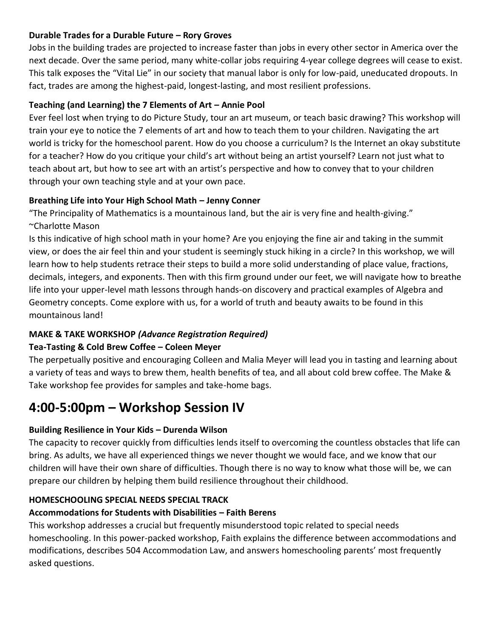#### **Durable Trades for a Durable Future – Rory Groves**

Jobs in the building trades are projected to increase faster than jobs in every other sector in America over the next decade. Over the same period, many white-collar jobs requiring 4-year college degrees will cease to exist. This talk exposes the "Vital Lie" in our society that manual labor is only for low-paid, uneducated dropouts. In fact, trades are among the highest-paid, longest-lasting, and most resilient professions.

#### **Teaching (and Learning) the 7 Elements of Art – Annie Pool**

Ever feel lost when trying to do Picture Study, tour an art museum, or teach basic drawing? This workshop will train your eye to notice the 7 elements of art and how to teach them to your children. Navigating the art world is tricky for the homeschool parent. How do you choose a curriculum? Is the Internet an okay substitute for a teacher? How do you critique your child's art without being an artist yourself? Learn not just what to teach about art, but how to see art with an artist's perspective and how to convey that to your children through your own teaching style and at your own pace.

#### **Breathing Life into Your High School Math – Jenny Conner**

"The Principality of Mathematics is a mountainous land, but the air is very fine and health-giving." ~Charlotte Mason

Is this indicative of high school math in your home? Are you enjoying the fine air and taking in the summit view, or does the air feel thin and your student is seemingly stuck hiking in a circle? In this workshop, we will learn how to help students retrace their steps to build a more solid understanding of place value, fractions, decimals, integers, and exponents. Then with this firm ground under our feet, we will navigate how to breathe life into your upper-level math lessons through hands-on discovery and practical examples of Algebra and Geometry concepts. Come explore with us, for a world of truth and beauty awaits to be found in this mountainous land!

## **MAKE & TAKE WORKSHOP** *(Advance Registration Required)*

## **Tea-Tasting & Cold Brew Coffee – Coleen Meyer**

The perpetually positive and encouraging Colleen and Malia Meyer will lead you in tasting and learning about a variety of teas and ways to brew them, health benefits of tea, and all about cold brew coffee. The Make & Take workshop fee provides for samples and take-home bags.

# **4:00-5:00pm – Workshop Session IV**

## **Building Resilience in Your Kids – Durenda Wilson**

The capacity to recover quickly from difficulties lends itself to overcoming the countless obstacles that life can bring. As adults, we have all experienced things we never thought we would face, and we know that our children will have their own share of difficulties. Though there is no way to know what those will be, we can prepare our children by helping them build resilience throughout their childhood.

## **HOMESCHOOLING SPECIAL NEEDS SPECIAL TRACK**

## **Accommodations for Students with Disabilities – Faith Berens**

This workshop addresses a crucial but frequently misunderstood topic related to special needs homeschooling. In this power-packed workshop, Faith explains the difference between accommodations and modifications, describes 504 Accommodation Law, and answers homeschooling parents' most frequently asked questions.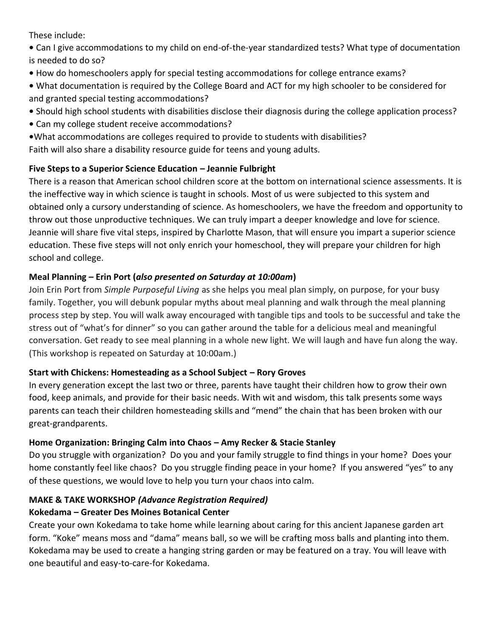These include:

- Can I give accommodations to my child on end-of-the-year standardized tests? What type of documentation is needed to do so?
- How do homeschoolers apply for special testing accommodations for college entrance exams?
- What documentation is required by the College Board and ACT for my high schooler to be considered for and granted special testing accommodations?
- Should high school students with disabilities disclose their diagnosis during the college application process?
- Can my college student receive accommodations?
- **•**What accommodations are colleges required to provide to students with disabilities?

Faith will also share a disability resource guide for teens and young adults.

# **Five Steps to a Superior Science Education – Jeannie Fulbright**

There is a reason that American school children score at the bottom on international science assessments. It is the ineffective way in which science is taught in schools. Most of us were subjected to this system and obtained only a cursory understanding of science. As homeschoolers, we have the freedom and opportunity to throw out those unproductive techniques. We can truly impart a deeper knowledge and love for science. Jeannie will share five vital steps, inspired by Charlotte Mason, that will ensure you impart a superior science education. These five steps will not only enrich your homeschool, they will prepare your children for high school and college.

# **Meal Planning – Erin Port (***also presented on Saturday at 10:00am***)**

Join Erin Port from *Simple Purposeful Living* as she helps you meal plan simply, on purpose, for your busy family. Together, you will debunk popular myths about meal planning and walk through the meal planning process step by step. You will walk away encouraged with tangible tips and tools to be successful and take the stress out of "what's for dinner" so you can gather around the table for a delicious meal and meaningful conversation. Get ready to see meal planning in a whole new light. We will laugh and have fun along the way. (This workshop is repeated on Saturday at 10:00am.)

# **Start with Chickens: Homesteading as a School Subject – Rory Groves**

In every generation except the last two or three, parents have taught their children how to grow their own food, keep animals, and provide for their basic needs. With wit and wisdom, this talk presents some ways parents can teach their children homesteading skills and "mend" the chain that has been broken with our great-grandparents.

# **Home Organization: Bringing Calm into Chaos – Amy Recker & Stacie Stanley**

Do you struggle with organization? Do you and your family struggle to find things in your home? Does your home constantly feel like chaos? Do you struggle finding peace in your home? If you answered "yes" to any of these questions, we would love to help you turn your chaos into calm.

#### **MAKE & TAKE WORKSHOP** *(Advance Registration Required)* **Kokedama – Greater Des Moines Botanical Center**

Create your own Kokedama to take home while learning about caring for this ancient Japanese garden art form. "Koke" means moss and "dama" means ball, so we will be crafting moss balls and planting into them. Kokedama may be used to create a hanging string garden or may be featured on a tray. You will leave with one beautiful and easy-to-care-for Kokedama.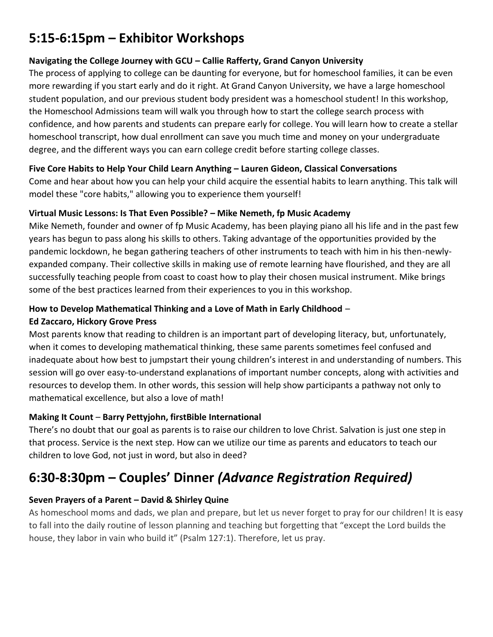# **5:15-6:15pm – Exhibitor Workshops**

#### **Navigating the College Journey with GCU – Callie Rafferty, Grand Canyon University**

The process of applying to college can be daunting for everyone, but for homeschool families, it can be even more rewarding if you start early and do it right. At Grand Canyon University, we have a large homeschool student population, and our previous student body president was a homeschool student! In this workshop, the Homeschool Admissions team will walk you through how to start the college search process with confidence, and how parents and students can prepare early for college. You will learn how to create a stellar homeschool transcript, how dual enrollment can save you much time and money on your undergraduate degree, and the different ways you can earn college credit before starting college classes.

#### **Five Core Habits to Help Your Child Learn Anything – Lauren Gideon, Classical Conversations**

Come and hear about how you can help your child acquire the essential habits to learn anything. This talk will model these "core habits," allowing you to experience them yourself!

#### **Virtual Music Lessons: Is That Even Possible? – Mike Nemeth, fp Music Academy**

Mike Nemeth, founder and owner of fp Music Academy, has been playing piano all his life and in the past few years has begun to pass along his skills to others. Taking advantage of the opportunities provided by the pandemic lockdown, he began gathering teachers of other instruments to teach with him in his then-newlyexpanded company. Their collective skills in making use of remote learning have flourished, and they are all successfully teaching people from coast to coast how to play their chosen musical instrument. Mike brings some of the best practices learned from their experiences to you in this workshop.

## **How to Develop Mathematical Thinking and a Love of Math in Early Childhood** –

#### **Ed Zaccaro, Hickory Grove Press**

Most parents know that reading to children is an important part of developing literacy, but, unfortunately, when it comes to developing mathematical thinking, these same parents sometimes feel confused and inadequate about how best to jumpstart their young children's interest in and understanding of numbers. This session will go over easy-to-understand explanations of important number concepts, along with activities and resources to develop them. In other words, this session will help show participants a pathway not only to mathematical excellence, but also a love of math!

## **Making It Count** – **Barry Pettyjohn, firstBible International**

There's no doubt that our goal as parents is to raise our children to love Christ. Salvation is just one step in that process. Service is the next step. How can we utilize our time as parents and educators to teach our children to love God, not just in word, but also in deed?

# **6:30-8:30pm – Couples' Dinner** *(Advance Registration Required)*

# **Seven Prayers of a Parent – David & Shirley Quine**

As homeschool moms and dads, we plan and prepare, but let us never forget to pray for our children! It is easy to fall into the daily routine of lesson planning and teaching but forgetting that "except the Lord builds the house, they labor in vain who build it" (Psalm 127:1). Therefore, let us pray.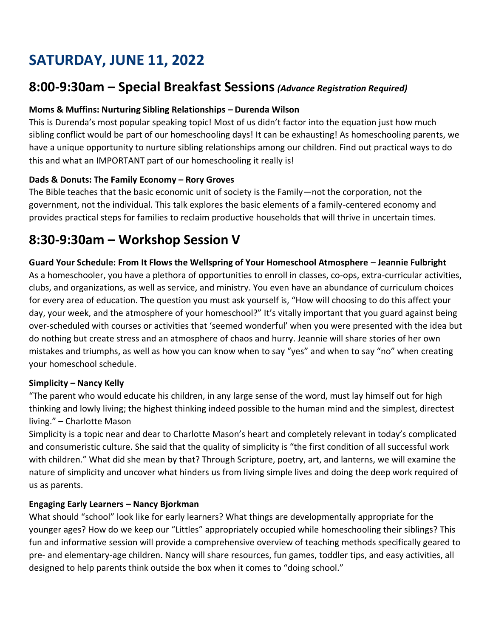# **SATURDAY, JUNE 11, 2022**

# **8:00-9:30am – Special Breakfast Sessions***(Advance Registration Required)*

#### **Moms & Muffins: Nurturing Sibling Relationships – Durenda Wilson**

This is Durenda's most popular speaking topic! Most of us didn't factor into the equation just how much sibling conflict would be part of our homeschooling days! It can be exhausting! As homeschooling parents, we have a unique opportunity to nurture sibling relationships among our children. Find out practical ways to do this and what an IMPORTANT part of our homeschooling it really is!

#### **Dads & Donuts: The Family Economy – Rory Groves**

The Bible teaches that the basic economic unit of society is the Family—not the corporation, not the government, not the individual. This talk explores the basic elements of a family-centered economy and provides practical steps for families to reclaim productive households that will thrive in uncertain times.

# **8:30-9:30am – Workshop Session V**

#### **Guard Your Schedule: From It Flows the Wellspring of Your Homeschool Atmosphere – Jeannie Fulbright**

As a homeschooler, you have a plethora of opportunities to enroll in classes, co-ops, extra-curricular activities, clubs, and organizations, as well as service, and ministry. You even have an abundance of curriculum choices for every area of education. The question you must ask yourself is, "How will choosing to do this affect your day, your week, and the atmosphere of your homeschool?" It's vitally important that you guard against being over-scheduled with courses or activities that 'seemed wonderful' when you were presented with the idea but do nothing but create stress and an atmosphere of chaos and hurry. Jeannie will share stories of her own mistakes and triumphs, as well as how you can know when to say "yes" and when to say "no" when creating your homeschool schedule.

#### **Simplicity – Nancy Kelly**

"The parent who would educate his children, in any large sense of the word, must lay himself out for high thinking and lowly living; the highest thinking indeed possible to the human mind and the simplest, directest living." – Charlotte Mason

Simplicity is a topic near and dear to Charlotte Mason's heart and completely relevant in today's complicated and consumeristic culture. She said that the quality of simplicity is "the first condition of all successful work with children." What did she mean by that? Through Scripture, poetry, art, and lanterns, we will examine the nature of simplicity and uncover what hinders us from living simple lives and doing the deep work required of us as parents.

#### **Engaging Early Learners – Nancy Bjorkman**

What should "school" look like for early learners? What things are developmentally appropriate for the younger ages? How do we keep our "Littles" appropriately occupied while homeschooling their siblings? This fun and informative session will provide a comprehensive overview of teaching methods specifically geared to pre- and elementary-age children. Nancy will share resources, fun games, toddler tips, and easy activities, all designed to help parents think outside the box when it comes to "doing school."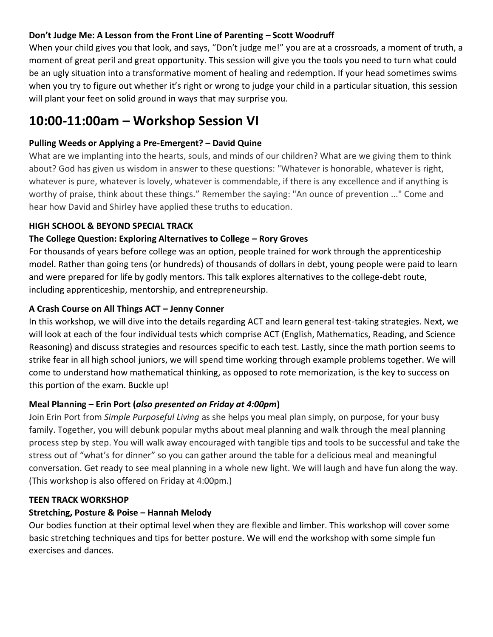#### **Don't Judge Me: A Lesson from the Front Line of Parenting – Scott Woodruff**

When your child gives you that look, and says, "Don't judge me!" you are at a crossroads, a moment of truth, a moment of great peril and great opportunity. This session will give you the tools you need to turn what could be an ugly situation into a transformative moment of healing and redemption. If your head sometimes swims when you try to figure out whether it's right or wrong to judge your child in a particular situation, this session will plant your feet on solid ground in ways that may surprise you.

# **10:00-11:00am – Workshop Session VI**

#### **Pulling Weeds or Applying a Pre-Emergent? – David Quine**

What are we implanting into the hearts, souls, and minds of our children? What are we giving them to think about? God has given us wisdom in answer to these questions: "Whatever is honorable, whatever is right, whatever is pure, whatever is lovely, whatever is commendable, if there is any excellence and if anything is worthy of praise, think about these things." Remember the saying: "An ounce of prevention ..." Come and hear how David and Shirley have applied these truths to education.

#### **HIGH SCHOOL & BEYOND SPECIAL TRACK**

#### **The College Question: Exploring Alternatives to College – Rory Groves**

For thousands of years before college was an option, people trained for work through the apprenticeship model. Rather than going tens (or hundreds) of thousands of dollars in debt, young people were paid to learn and were prepared for life by godly mentors. This talk explores alternatives to the college-debt route, including apprenticeship, mentorship, and entrepreneurship.

#### **A Crash Course on All Things ACT – Jenny Conner**

In this workshop, we will dive into the details regarding ACT and learn general test-taking strategies. Next, we will look at each of the four individual tests which comprise ACT (English, Mathematics, Reading, and Science Reasoning) and discuss strategies and resources specific to each test. Lastly, since the math portion seems to strike fear in all high school juniors, we will spend time working through example problems together. We will come to understand how mathematical thinking, as opposed to rote memorization, is the key to success on this portion of the exam. Buckle up!

## **Meal Planning – Erin Port (***also presented on Friday at 4:00pm***)**

Join Erin Port from *Simple Purposeful Living* as she helps you meal plan simply, on purpose, for your busy family. Together, you will debunk popular myths about meal planning and walk through the meal planning process step by step. You will walk away encouraged with tangible tips and tools to be successful and take the stress out of "what's for dinner" so you can gather around the table for a delicious meal and meaningful conversation. Get ready to see meal planning in a whole new light. We will laugh and have fun along the way. (This workshop is also offered on Friday at 4:00pm.)

#### **TEEN TRACK WORKSHOP**

## **Stretching, Posture & Poise – Hannah Melody**

Our bodies function at their optimal level when they are flexible and limber. This workshop will cover some basic stretching techniques and tips for better posture. We will end the workshop with some simple fun exercises and dances.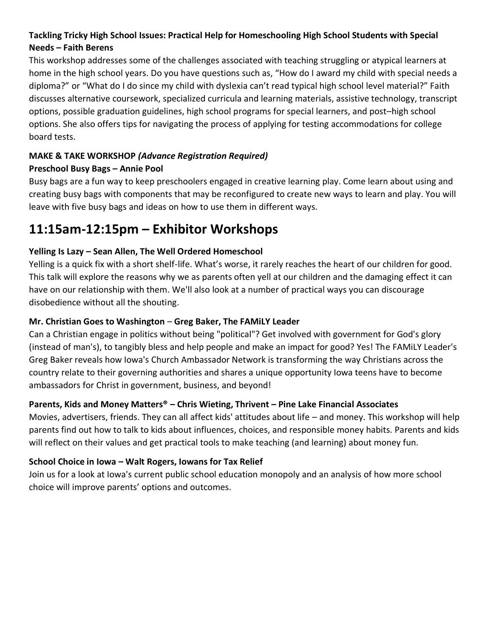# **Tackling Tricky High School Issues: Practical Help for Homeschooling High School Students with Special Needs – Faith Berens**

This workshop addresses some of the challenges associated with teaching struggling or atypical learners at home in the high school years. Do you have questions such as, "How do I award my child with special needs a diploma?" or "What do I do since my child with dyslexia can't read typical high school level material?" Faith discusses alternative coursework, specialized curricula and learning materials, assistive technology, transcript options, possible graduation guidelines, high school programs for special learners, and post–high school options. She also offers tips for navigating the process of applying for testing accommodations for college board tests.

# **MAKE & TAKE WORKSHOP** *(Advance Registration Required)*

## **Preschool Busy Bags – Annie Pool**

Busy bags are a fun way to keep preschoolers engaged in creative learning play. Come learn about using and creating busy bags with components that may be reconfigured to create new ways to learn and play. You will leave with five busy bags and ideas on how to use them in different ways.

# **11:15am-12:15pm – Exhibitor Workshops**

# **Yelling Is Lazy – Sean Allen, The Well Ordered Homeschool**

Yelling is a quick fix with a short shelf-life. What's worse, it rarely reaches the heart of our children for good. This talk will explore the reasons why we as parents often yell at our children and the damaging effect it can have on our relationship with them. We'll also look at a number of practical ways you can discourage disobedience without all the shouting.

## **Mr. Christian Goes to Washington** – **Greg Baker, The FAMiLY Leader**

Can a Christian engage in politics without being "political"? Get involved with government for God's glory (instead of man's), to tangibly bless and help people and make an impact for good? Yes! The FAMiLY Leader's Greg Baker reveals how Iowa's Church Ambassador Network is transforming the way Christians across the country relate to their governing authorities and shares a unique opportunity Iowa teens have to become ambassadors for Christ in government, business, and beyond!

## **Parents, Kids and Money Matters® – Chris Wieting, Thrivent – Pine Lake Financial Associates**

Movies, advertisers, friends. They can all affect kids' attitudes about life – and money. This workshop will help parents find out how to talk to kids about influences, choices, and responsible money habits. Parents and kids will reflect on their values and get practical tools to make teaching (and learning) about money fun.

## **School Choice in Iowa – Walt Rogers, Iowans for Tax Relief**

Join us for a look at Iowa's current public school education monopoly and an analysis of how more school choice will improve parents' options and outcomes.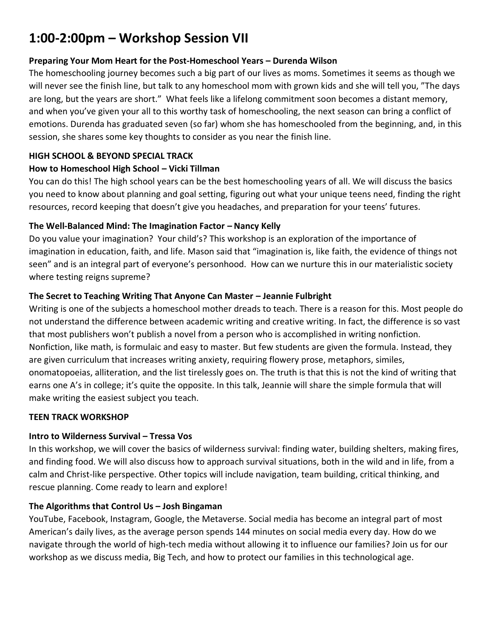# **1:00-2:00pm – Workshop Session VII**

#### **Preparing Your Mom Heart for the Post-Homeschool Years – Durenda Wilson**

The homeschooling journey becomes such a big part of our lives as moms. Sometimes it seems as though we will never see the finish line, but talk to any homeschool mom with grown kids and she will tell you, "The days are long, but the years are short." What feels like a lifelong commitment soon becomes a distant memory, and when you've given your all to this worthy task of homeschooling, the next season can bring a conflict of emotions. Durenda has graduated seven (so far) whom she has homeschooled from the beginning, and, in this session, she shares some key thoughts to consider as you near the finish line.

## **HIGH SCHOOL & BEYOND SPECIAL TRACK**

#### **How to Homeschool High School – Vicki Tillman**

You can do this! The high school years can be the best homeschooling years of all. We will discuss the basics you need to know about planning and goal setting, figuring out what your unique teens need, finding the right resources, record keeping that doesn't give you headaches, and preparation for your teens' futures.

## **The Well-Balanced Mind: The Imagination Factor – Nancy Kelly**

Do you value your imagination? Your child's? This workshop is an exploration of the importance of imagination in education, faith, and life. Mason said that "imagination is, like faith, the evidence of things not seen" and is an integral part of everyone's personhood. How can we nurture this in our materialistic society where testing reigns supreme?

#### **The Secret to Teaching Writing That Anyone Can Master – Jeannie Fulbright**

Writing is one of the subjects a homeschool mother dreads to teach. There is a reason for this. Most people do not understand the difference between academic writing and creative writing. In fact, the difference is so vast that most publishers won't publish a novel from a person who is accomplished in writing nonfiction. Nonfiction, like math, is formulaic and easy to master. But few students are given the formula. Instead, they are given curriculum that increases writing anxiety, requiring flowery prose, metaphors, similes, onomatopoeias, alliteration, and the list tirelessly goes on. The truth is that this is not the kind of writing that earns one A's in college; it's quite the opposite. In this talk, Jeannie will share the simple formula that will make writing the easiest subject you teach.

#### **TEEN TRACK WORKSHOP**

## **Intro to Wilderness Survival – Tressa Vos**

In this workshop, we will cover the basics of wilderness survival: finding water, building shelters, making fires, and finding food. We will also discuss how to approach survival situations, both in the wild and in life, from a calm and Christ-like perspective. Other topics will include navigation, team building, critical thinking, and rescue planning. Come ready to learn and explore!

## **The Algorithms that Control Us – Josh Bingaman**

YouTube, Facebook, Instagram, Google, the Metaverse. Social media has become an integral part of most American's daily lives, as the average person spends 144 minutes on social media every day. How do we navigate through the world of high-tech media without allowing it to influence our families? Join us for our workshop as we discuss media, Big Tech, and how to protect our families in this technological age.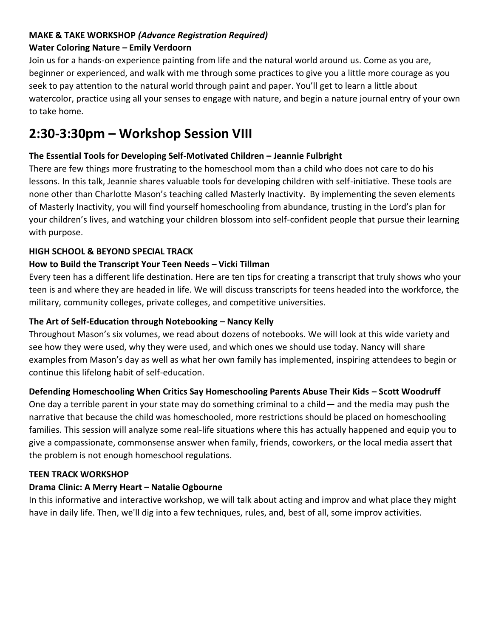#### **MAKE & TAKE WORKSHOP** *(Advance Registration Required)* **Water Coloring Nature – Emily Verdoorn**

Join us for a hands-on experience painting from life and the natural world around us. Come as you are, beginner or experienced, and walk with me through some practices to give you a little more courage as you seek to pay attention to the natural world through paint and paper. You'll get to learn a little about watercolor, practice using all your senses to engage with nature, and begin a nature journal entry of your own to take home.

# **2:30-3:30pm – Workshop Session VIII**

# **The Essential Tools for Developing Self-Motivated Children – Jeannie Fulbright**

There are few things more frustrating to the homeschool mom than a child who does not care to do his lessons. In this talk, Jeannie shares valuable tools for developing children with self-initiative. These tools are none other than Charlotte Mason's teaching called Masterly Inactivity. By implementing the seven elements of Masterly Inactivity, you will find yourself homeschooling from abundance, trusting in the Lord's plan for your children's lives, and watching your children blossom into self-confident people that pursue their learning with purpose.

# **HIGH SCHOOL & BEYOND SPECIAL TRACK**

# **How to Build the Transcript Your Teen Needs – Vicki Tillman**

Every teen has a different life destination. Here are ten tips for creating a transcript that truly shows who your teen is and where they are headed in life. We will discuss transcripts for teens headed into the workforce, the military, community colleges, private colleges, and competitive universities.

## **The Art of Self-Education through Notebooking – Nancy Kelly**

Throughout Mason's six volumes, we read about dozens of notebooks. We will look at this wide variety and see how they were used, why they were used, and which ones we should use today. Nancy will share examples from Mason's day as well as what her own family has implemented, inspiring attendees to begin or continue this lifelong habit of self-education.

# **Defending Homeschooling When Critics Say Homeschooling Parents Abuse Their Kids – Scott Woodruff**

One day a terrible parent in your state may do something criminal to a child— and the media may push the narrative that because the child was homeschooled, more restrictions should be placed on homeschooling families. This session will analyze some real-life situations where this has actually happened and equip you to give a compassionate, commonsense answer when family, friends, coworkers, or the local media assert that the problem is not enough homeschool regulations.

## **TEEN TRACK WORKSHOP**

## **Drama Clinic: A Merry Heart – Natalie Ogbourne**

In this informative and interactive workshop, we will talk about acting and improv and what place they might have in daily life. Then, we'll dig into a few techniques, rules, and, best of all, some improv activities.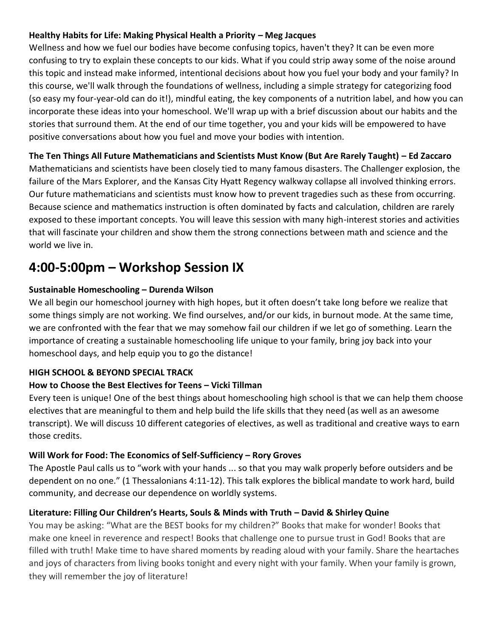#### **Healthy Habits for Life: Making Physical Health a Priority – Meg Jacques**

Wellness and how we fuel our bodies have become confusing topics, haven't they? It can be even more confusing to try to explain these concepts to our kids. What if you could strip away some of the noise around this topic and instead make informed, intentional decisions about how you fuel your body and your family? In this course, we'll walk through the foundations of wellness, including a simple strategy for categorizing food (so easy my four-year-old can do it!), mindful eating, the key components of a nutrition label, and how you can incorporate these ideas into your homeschool. We'll wrap up with a brief discussion about our habits and the stories that surround them. At the end of our time together, you and your kids will be empowered to have positive conversations about how you fuel and move your bodies with intention.

#### **The Ten Things All Future Mathematicians and Scientists Must Know (But Are Rarely Taught) – Ed Zaccaro**

Mathematicians and scientists have been closely tied to many famous disasters. The Challenger explosion, the failure of the Mars Explorer, and the Kansas City Hyatt Regency walkway collapse all involved thinking errors. Our future mathematicians and scientists must know how to prevent tragedies such as these from occurring. Because science and mathematics instruction is often dominated by facts and calculation, children are rarely exposed to these important concepts. You will leave this session with many high-interest stories and activities that will fascinate your children and show them the strong connections between math and science and the world we live in.

# **4:00-5:00pm – Workshop Session IX**

#### **Sustainable Homeschooling – Durenda Wilson**

We all begin our homeschool journey with high hopes, but it often doesn't take long before we realize that some things simply are not working. We find ourselves, and/or our kids, in burnout mode. At the same time, we are confronted with the fear that we may somehow fail our children if we let go of something. Learn the importance of creating a sustainable homeschooling life unique to your family, bring joy back into your homeschool days, and help equip you to go the distance!

#### **HIGH SCHOOL & BEYOND SPECIAL TRACK**

#### **How to Choose the Best Electives for Teens – Vicki Tillman**

Every teen is unique! One of the best things about homeschooling high school is that we can help them choose electives that are meaningful to them and help build the life skills that they need (as well as an awesome transcript). We will discuss 10 different categories of electives, as well as traditional and creative ways to earn those credits.

#### **Will Work for Food: The Economics of Self-Sufficiency – Rory Groves**

The Apostle Paul calls us to "work with your hands ... so that you may walk properly before outsiders and be dependent on no one." (1 Thessalonians 4:11-12). This talk explores the biblical mandate to work hard, build community, and decrease our dependence on worldly systems.

## **Literature: Filling Our Children's Hearts, Souls & Minds with Truth – David & Shirley Quine**

You may be asking: "What are the BEST books for my children?" Books that make for wonder! Books that make one kneel in reverence and respect! Books that challenge one to pursue trust in God! Books that are filled with truth! Make time to have shared moments by reading aloud with your family. Share the heartaches and joys of characters from living books tonight and every night with your family. When your family is grown, they will remember the joy of literature!